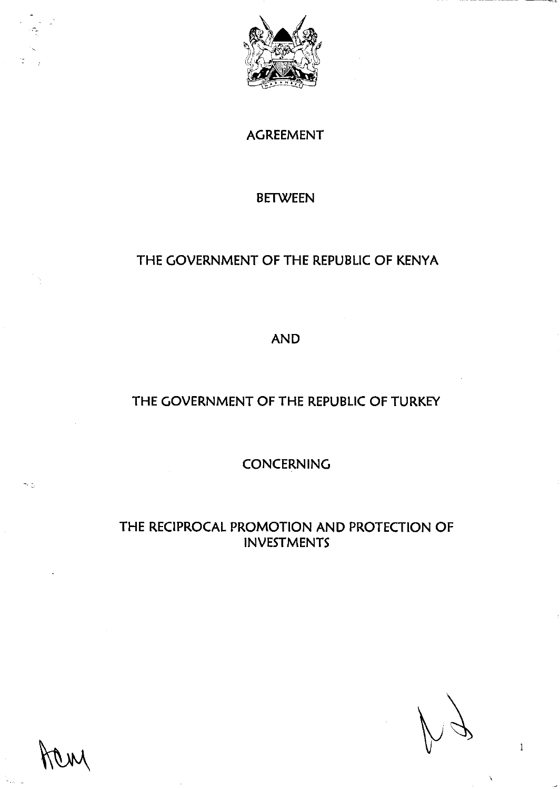

AGREEMENT

#### BETWEEN

# THE GOVERNMENT OF THE REPUBLIC OF KENYA

AND

## THE GOVERNMENT OF THE REPUBLIC OF TURKEY

**CONCERNING** 

## THE RECIPROCAL PROMOTION AND PROTECTION OF INVESTMENTS

 $\,1$ 

R,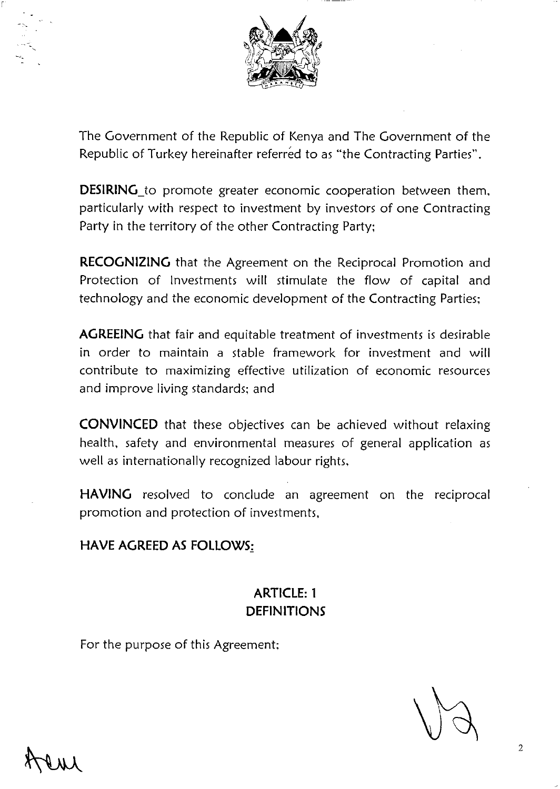

The Government of the Republic of Kenya and The Government of the Republic of Turkey hereinafter referred to as "the Contracting Parties".

**DESIRING\_to** promote greater economic cooperation between them. particularly with respect to investment by investors of one Contracting Party in the territory of the other Contracting Party;

**RECOGNIZING** that the Agreement on the Reciprocal Promotion and Protection of Investments will stimulate the flow of capital and technology and the economic development of the Contracting Parties;

**AGREEING** that fair and equitable treatment of investments is desirable in order to maintain a stable framework for investment and **will**  contribute to maximizing effective utilization of economic resources and improve living standards; and

**CONVINCED** that these objectives can be achieved without relaxing health, safety and environmental measures of general application as well as internationally recognized labour rights,

**HAVING** resolved to conclude an agreement on the reciprocal promotion and protection of investments,

#### **HAVE AGREED AS FOLLOWS:**

## **ARTICLE: 1 DEFINITIONS**

For the purpose of this Agreement;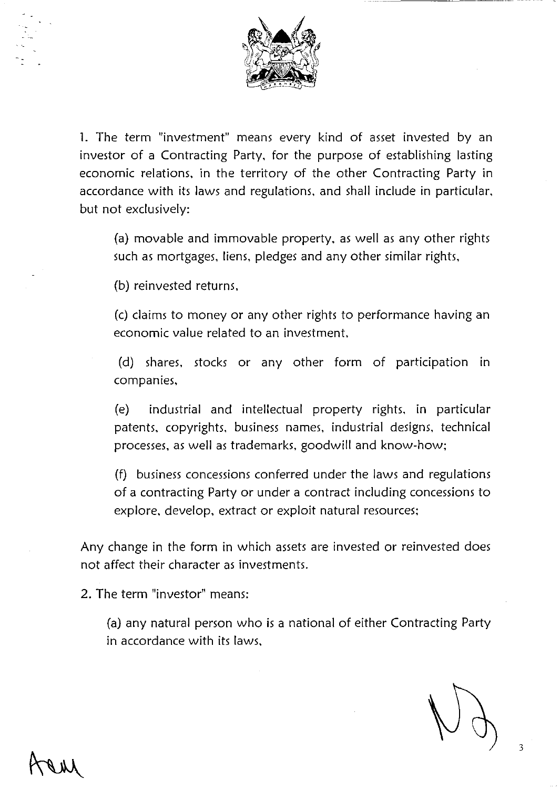

1. The term "investment" means every kind of asset invested by an investor of a Contracting Party, for the purpose of establishing lasting economic relations, in the territory of the other Contracting Party in accordance with its laws and regulations, and shall include in particular, but not exclusively:

(a) movable and immovable property, as well as any other rights such as mortgages, liens, pledges and any other similar rights,

(b) reinvested returns,

(c) claims to money or any other rights to performance having an economic value related to an investment,

(d) shares, stocks or any other form of participation in companies,

(e) industrial and intellectual property rights, in particular patents, copyrights, business names, industrial designs, technical processes, as well as trademarks, goodwill and know-how;

(f) business concessions conferred under the laws and regulations of a contracting Party or under a contract including concessions to explore, develop, extract or exploit natural resources;

Any change in the form in which assets are invested or reinvested does not affect their character as investments.

2. The term "investor" means:

(a) any natural person who is a national of either Contracting Party in accordance with its laws,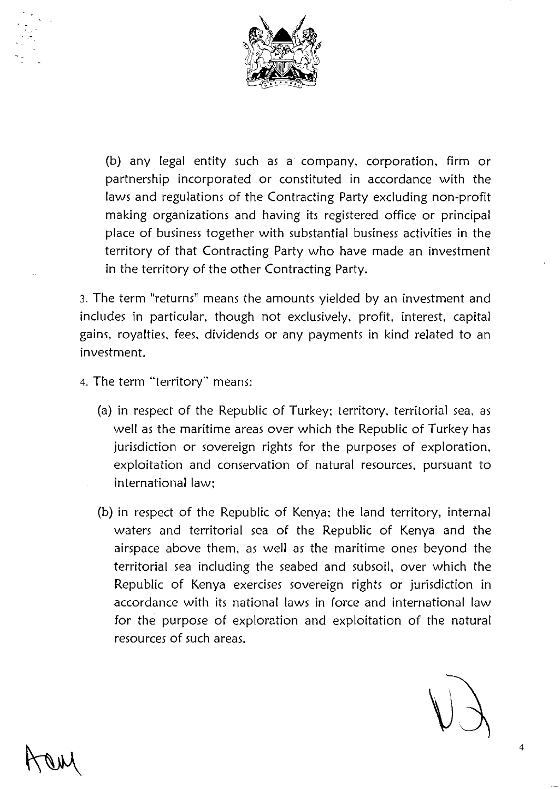

(b) any legal entity such as a company, corporation, firm or partnership incorporated or constituted in accordance with the laws and regulations of the Contracting Party excluding non-profit making organizations and having its registered office or principal place of business together with substantial business activities in the territory of that Contracting Party who have made an investment in the territory of the other Contracting Party.

3. The term "returns" means the amounts yielded by an investment and includes in particular, though not exclusively, profit, interest, capital gains, royalties, fees, dividends or any payments in kind related to an investment.

- 4. The term "territory" means:
	- (a) in respect of the Republic of Turkey; territory, territorial sea, as well as the maritime areas over which the Republic of Turkey has jurisdiction or sovereign rights for the purposes of exploration, exploitation and conservation of natural resources, pursuant to international law;
	- (b) in respect of the Republic of Kenya; the land territory, internal waters and territorial sea of the Republic of Kenya and the airspace above them, as well as the maritime ones beyond the territorial sea including the seabed and subsoil, over which the Republic of Kenya exercises sovereign rights or jurisdiction in accordance with its national laws in force and international law for the purpose of exploration and exploitation of the natural resources of such areas.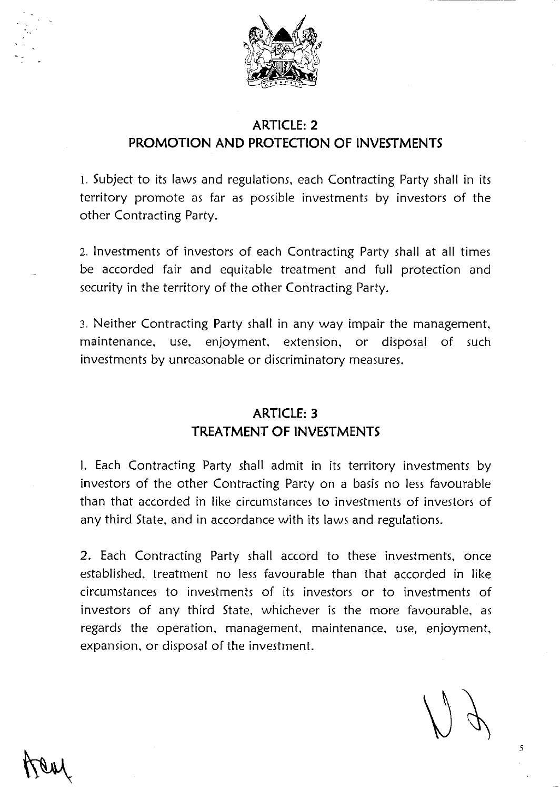

### **ARTICLE: 2 PROMOTION AND PROTECTION OF INVESTMENTS**

1. Subject to its laws and regulations, each Contracting Party shall in its territory promote as far as possible investments by investors of the other Contracting Party.

2. Investments of investors of each Contracting Party shall at all times be accorded fair and equitable treatment and full protection and security in the territory of the other Contracting Party.

3. Neither Contracting Party shall in any way impair the management, maintenance, use, enjoyment, extension, or disposal of such investments by unreasonable or discriminatory measures.

#### **ARTICLE: 3 TREATMENT OF INVESTMENTS**

I. Each Contracting Party shall admit in its territory investments by investors of the other Contracting Party on a basis no less favourable than that accorded in like circumstances to investments of investors of any third State, and in accordance with its laws and regulations.

2. Each Contracting Party shall accord to these investments, once established, treatment no less favourable than that accorded in like circumstances to investments of its investors or to investments of investors of any third State, whichever is the more favourable, as regards the operation, management, maintenance, use, enjoyment, expansion, or disposal of the investment.

5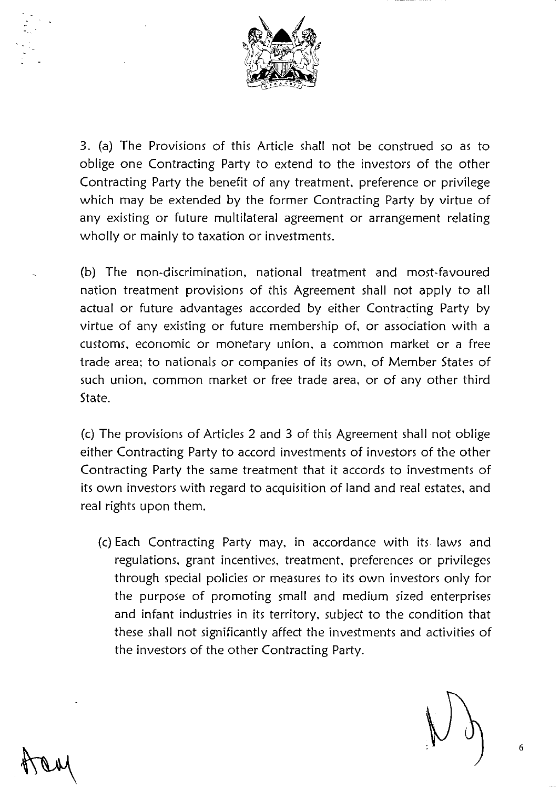

3. (a) The Provisions of this Article shall not be construed so as to oblige one Contracting Party to extend to the investors of the other Contracting Party the benefit of any treatment, preference or privilege which may be extended by the former Contracting Party by virtue of any existing or future multilateral agreement or arrangement relating wholly or mainly to taxation or investments.

(b) The non-discrimination, national treatment and most-favoured nation treatment provisions of this Agreement shall not apply to all actual or future advantages accorded by either Contracting Party by virtue of any existing or future membership of, or association with a customs, economic or monetary union, a common market or a free trade area; to nationals or companies of its own, of Member States of such union, common market or free trade area, or of any other third State.

(c) The provisions of Articles 2 and 3 of this Agreement shall not oblige either Contracting Party to accord investments of investors of the other Contracting Party the same treatment that it accords to investments of its own investors with regard to acquisition of land and real estates, and real rights upon them.

(c) Each Contracting Party may, in accordance with its laws and regulations, grant incentives, treatment, preferences or privileges through special policies or measures to its own investors only for the purpose of promoting small and medium sized enterprises and infant industries in its territory, subject to the condition that these shall not significantly affect the investments and activities of the investors of the other Contracting Party.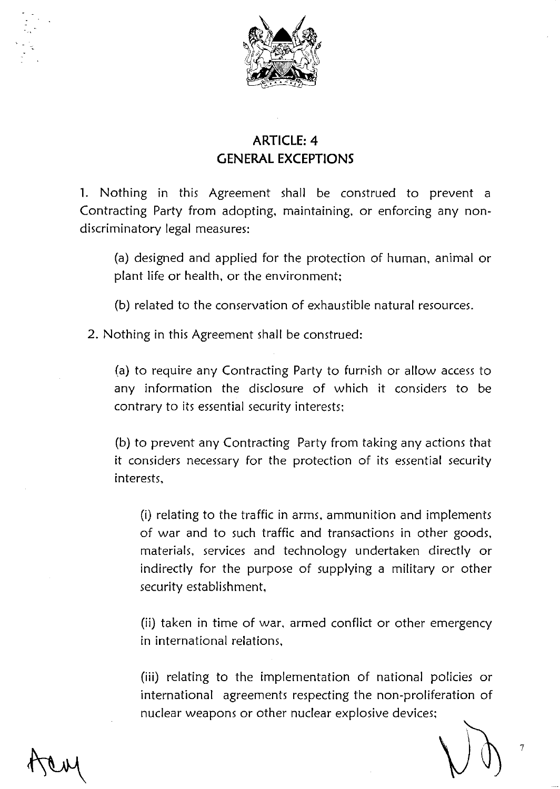

# **ARTICLE: 4 GENERAL EXCEPTIONS**

**1.** Nothing in this Agreement shall be construed to prevent a Contracting Party from adopting, maintaining, or enforcing any nondiscriminatory legal measures:

(a) designed and applied for the protection of human, animal or plant life or health, or the environment;

(b) related to the conservation of exhaustible natural resources.

2. Nothing in this Agreement shall be construed:

(a) to require any Contracting Party to furnish or allow access to any information the disclosure of which it considers to be contrary to its essential security interests;

(b) to prevent any Contracting Party from taking any actions that it considers necessary for the protection of its essential security interests,

(i) relating to the traffic in arms, ammunition and implements of war and to such traffic and transactions in other goods, materials, services and technology undertaken directly or indirectly for the purpose of supplying a military or other security establishment,

(ii) taken in time of war, armed conflict or other emergency in international relations,

**(iii)** relating to the implementation of national policies or international agreements respecting the non-proliferation of nuclear weapons or other nuclear explosive devices;

7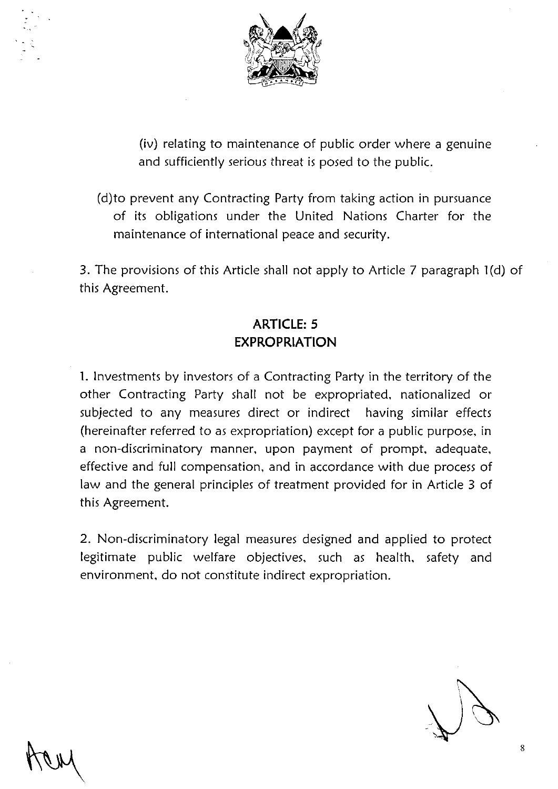

(iv) relating to maintenance of public order where a genuine and sufficiently serious threat is posed to the public.

(d)to prevent any Contracting Party from taking action in pursuance of its obligations under the United Nations Charter for the maintenance of international peace and security.

3. The provisions of this Article shall not apply to Article 7 paragraph 1(d) of this Agreement.

# **ARTICLE: 5 EXPROPRIATION**

1. Investments by investors of a Contracting Party in the territory of the other Contracting Party shall not be expropriated, nationalized or subjected to any measures direct or indirect having similar effects (hereinafter referred to as expropriation) except for a public purpose, in a non-discriminatory manner, upon payment of prompt, adequate, effective and full compensation, and in accordance with due process of law and the general principles of treatment provided for in Article 3 of this Agreement.

2. Non-discriminatory legal measures designed and applied to protect legitimate public welfare objectives, such as health, safety and environment, do not constitute indirect expropriation.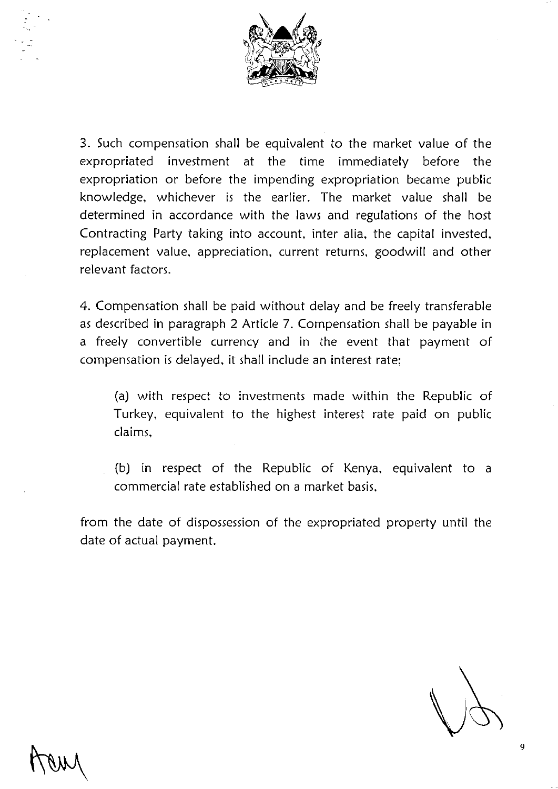

3. Such compensation shall be equivalent to the market value of the expropriated investment at the time immediately before the expropriation or before the impending expropriation became public knowledge, whichever is the earlier. The market value shall be determined in accordance with the laws and regulations of the host Contracting Party taking into account, inter alia, the capital invested, replacement value, appreciation, current returns, goodwill and other relevant factors.

4. Compensation shall be paid without delay and be freely transferable as described in paragraph 2 Article 7. Compensation shall be payable in a freely convertible currency and in the event that payment of compensation is delayed, it shall include an interest rate;

(a) with respect to investments made within the Republic of Turkey, equivalent to the highest interest rate paid on public claims,

(b) in respect of the Republic of Kenya, equivalent to a commercial rate established on a market basis,

from the date of dispossession of the expropriated property until the date of actual payment.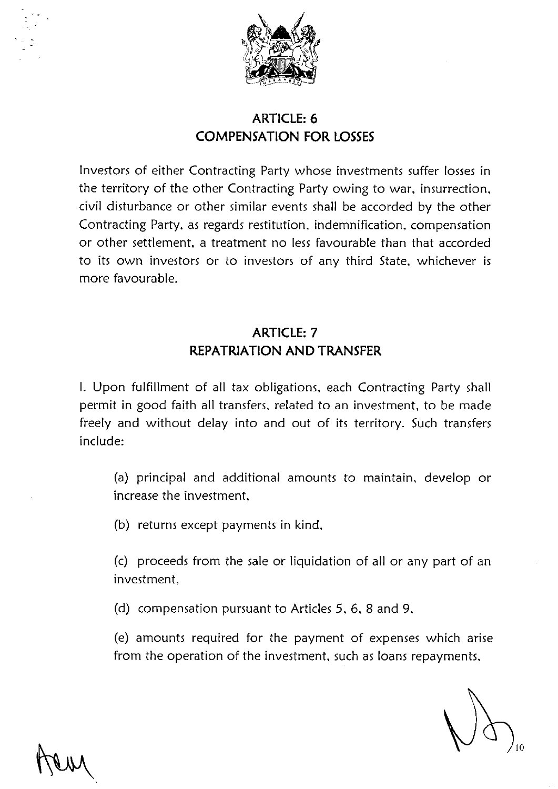

# **ARTICLE: 6 COMPENSATION FOR LOSSES**

Investors of either Contracting Party whose investments suffer losses in the territory of the other Contracting Party owing to war, insurrection, civil disturbance or other similar events shall be accorded by the other Contracting Party, as regards restitution, indemnification, compensation or other settlement, a treatment no less favourable than that accorded to its own investors or to investors of any third State, whichever is more favourable.

## **ARTICLE: 7 REPATRIATION AND TRANSFER**

I. Upon fulfillment of all tax obligations, each Contracting Party shall permit in good faith all transfers, related to an investment, to be made freely and without delay into and out of its territory. Such transfers include:

(a) principal and additional amounts to maintain, develop or increase the investment,

(b) returns except payments in kind,

(c) proceeds from the sale or liquidation of all or any part of an investment,

(d) compensation pursuant to Articles 5, 6, 8 and 9,

(e) amounts required for the payment of expenses which arise from the operation of the investment, such as loans repayments,

10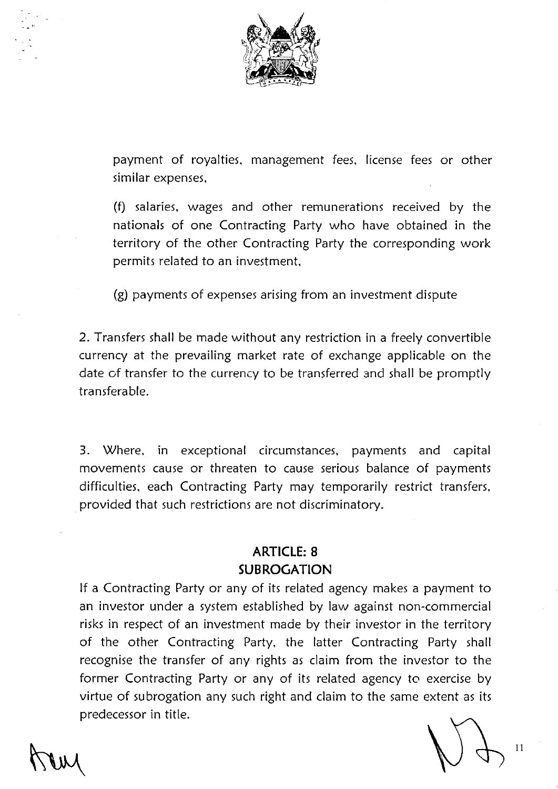

payment of royalties, management fees, license fees or other similar expenses,

(f) salaries, wages and other remunerations received by the nationals of one Contracting Party who have obtained in the territory of the other Contracting Party the corresponding work permits related to an investment,

(g) payments of expenses arising from an investment dispute

2. Transfers shall be made without any restriction in a freely convertible currency at the prevailing market rate of exchange applicable on the date of transfer to the currency to be transferred and shall be promptly transferable.

3. Where, in exceptional circumstances, payments and capital movements cause or threaten to cause serious balance of payments difficulties, each Contracting Party may temporarily restrict transfers, . provided that such restrictions are not discriminatory.

## **ARTICLE: 8 SUBROGATION**

If a Contracting Party or any of its related agency makes a payment to an investor under a system established by law against non-commercial risks in respect of an investment made by their investor in the territory of the other Contracting Party, the latter Contracting Party shall recognise the transfer of any rights as claim from the investor to the former Contracting Party or any of its related agency to exercise by virtue of subrogation any such right and claim to the same extent as its predecessor in title.

11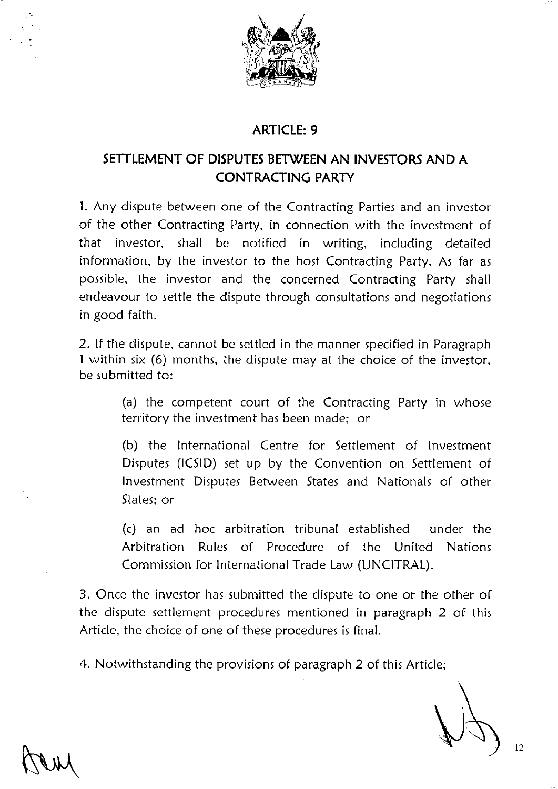

#### **ARTICLE: 9**

## **SETTLEMENT OF DISPUTES BETWEEN AN INVESTORS AND A CONTRACTING PARTY**

1. Any dispute between one of the Contracting Parties and an investor of the other Contracting Party, in connection with the investment of that investor, shall be notified in writing, including detailed information, by the investor to the host Contracting Party. As far as possible, the investor and the concerned Contracting Party shall endeavour to settle the dispute through consultations and negotiations in good faith.

2. If the dispute, cannot be settled in the manner specified in Paragraph 1 within six (6) months, the dispute may at the choice of the investor, be submitted to:

> (a) the competent court of the Contracting Party in whose territory the investment has been made; or

> (b) the International Centre for Settlement of Investment Disputes (ICSID) set up by the Convention on Settlement of Investment Disputes Between States and Nationals of other States; or

> (c) an ad hoc arbitration tribunal established under the Arbitration Rules of Procedure of the United Nations Commission for International Trade Law (UNCITRAL).

3. Once the investor has submitted the dispute to one or the other of the dispute settlement procedures mentioned in paragraph 2 of this Article, the choice of one of these procedures is final.

4. Notwithstanding the provisions of paragraph 2 of this Article;

--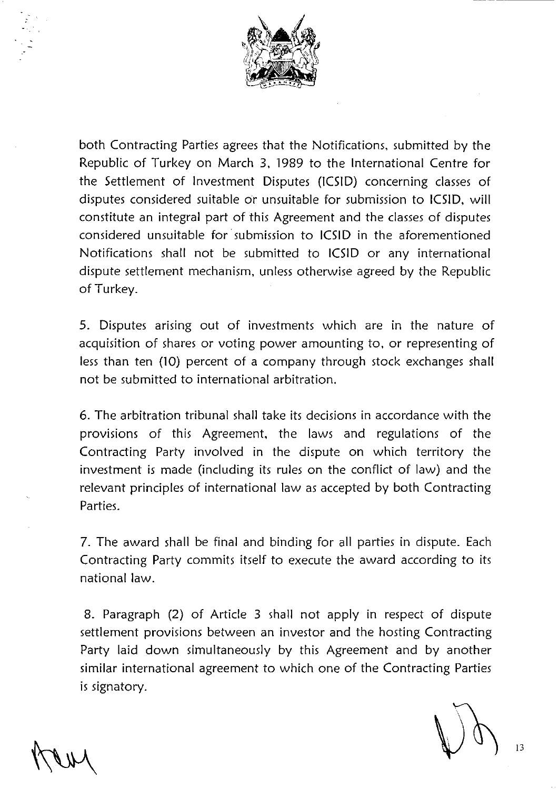

both Contracting Parties agrees that the Notifications, submitted by the Republic of Turkey on March 3, 1989 to the International Centre for the Settlement of Investment Disputes (ICSID) concerning classes of disputes considered suitable or unsuitable for submission to ICSID, will constitute an integral part of this Agreement and the classes of disputes considered unsuitable for· submission to ICSID in the aforementioned Notifications shall not be submitted to ICSID or any international dispute settlement mechanism, unless otherwise agreed by the Republic of Turkey.

5. Disputes arising out of investments which are in the nature of acquisition of shares or voting power amounting to, or representing of less than ten (10) percent of a company through stock exchanges shall not be submitted to international arbitration.

6. The arbitration tribunal shall take its decisions in accordance with the provisions of this Agreement, the laws and regulations of the Contracting Party involved in the dispute on which territory the investment is made (including its rules on the conflict of law) and the relevant principles of international law as accepted by both Contracting Parties.

7. The award shall be final and binding for all parties in dispute. Each Contracting Party commits itself to execute the award according to its national law.

8. Paragraph (2) of Article 3 shall not apply in respect of dispute settlement provisions between an investor and the hosting Contracting Party laid down simultaneously by this Agreement and by another similar international agreement to which one of the Contracting Parties is signatory.

---- ---------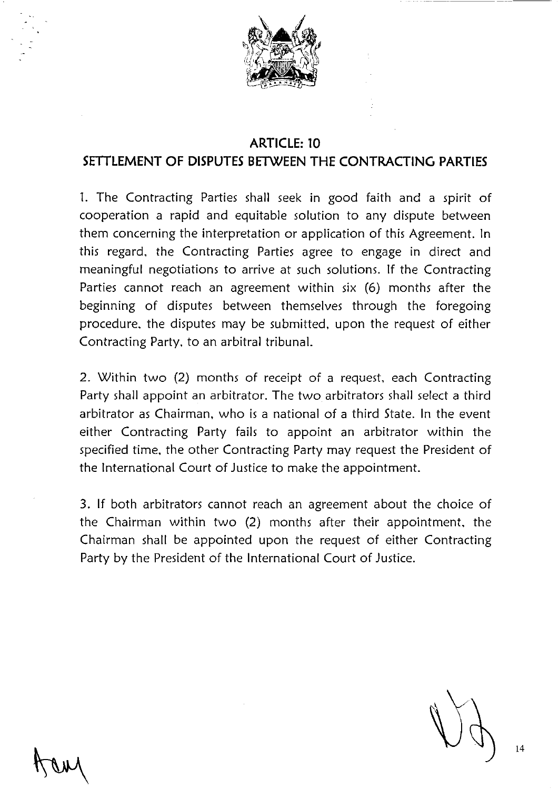

#### **ARTICLE: 10**

#### **SETTLEMENT OF DISPUTES BETWEEN THE CONTRACTING PARTIES**

1. The Contracting Parties shall seek in good faith and a spirit of cooperation a rapid and equitable solution to any dispute between them concerning the interpretation or application of this Agreement. In this regard, the Contracting Parties agree to engage in direct and meaningful negotiations to arrive at such solutions. If the Contracting Parties cannot reach an agreement within six (6) months after the beginning of disputes between themselves through the foregoing procedure, the disputes may be submitted, upon the request of either Contracting Party, to an arbitral tribunal.

2. Within two (2) months of receipt of a request, each Contracting Party shall appoint an arbitrator. The two arbitrators shall select a third arbitrator as Chairman, who is a national of a third State. In the event either Contracting Party fails to appoint an arbitrator within the specified time, the other Contracting Party may request the President of the International Court of Justice to make the appointment.

3. If both arbitrators cannot reach an agreement about the choice of the Chairman within two (2) months after their appointment, the Chairman shall be appointed upon the request of either Contracting Party by the President of the International Court of Justice.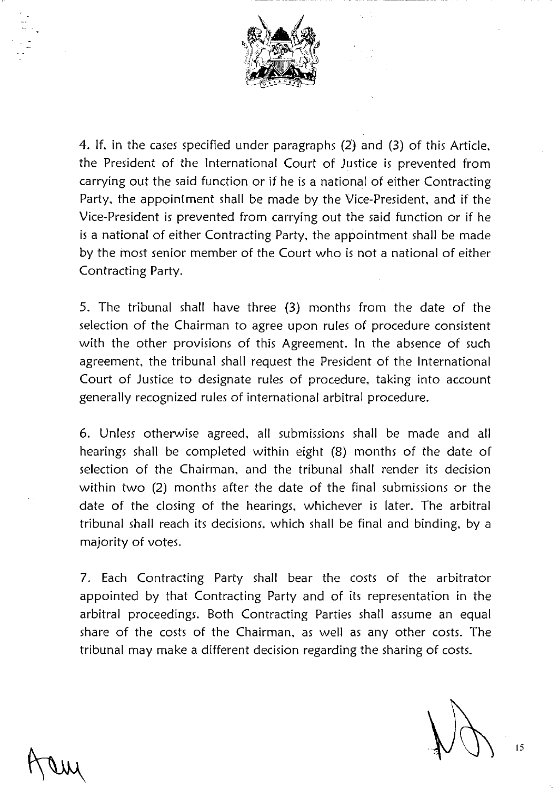

4. If, in the cases specified under paragraphs (2) and (3) of this Article, the President of the International Court of Justice is prevented from carrying out the said function or if he is a national of either Contracting Party, the appointment shall be made by the Vice-President, and if the Vice-President is prevented from carrying out the said function or if he is a national of either Contracting Party, the appointment shall be made by the most senior member of the Court who is not a national of either Contracting Party.

5. The tribunal shall have three (3) months from the date of the selection of the Chairman to agree upon rules of procedure consistent with the other provisions of this Agreement. In the absence of such agreement, the tribunal shall request the President of the International Court of Justice to designate rules of procedure, taking into account generally recognized rules of international arbitral procedure.

6. Unless otherwise agreed, all submissions shall be made and all hearings shall be completed within eight (8) months of the date of selection of the Chairman, and the tribunal shall render its decision within two (2) months after the date of the final submissions or the date of the closing of the hearings, whichever is later. The arbitral tribunal shall reach its decisions, which shall be final and binding, by a majority of votes.

7. Each Contracting Party shall bear the costs of the arbitrator appointed by that Contracting Party and of its representation in the arbitral proceedings. Both Contracting Parties shall assume an equal share of the costs of the Chairman, as well as any other costs. The tribunal may make a different decision regarding the sharing of costs.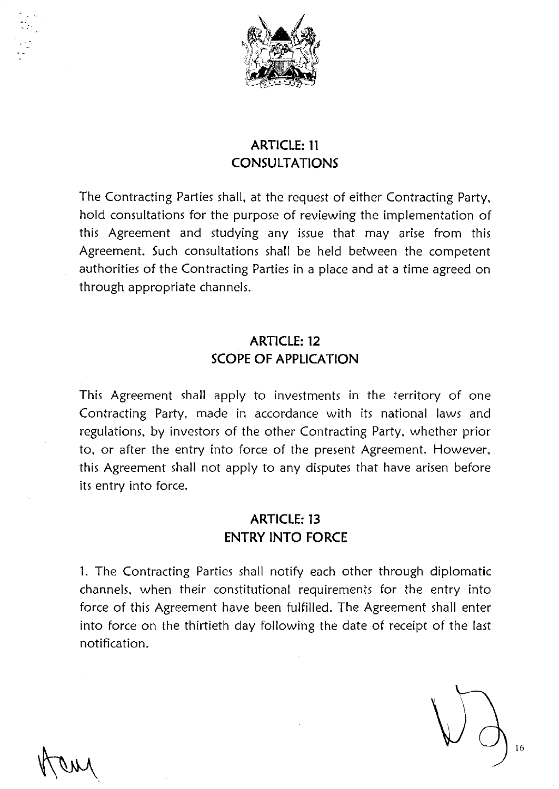

## **ARTICLE: 11 CONSULTATIONS**

The Contracting Parties shall, at the request of either Contracting Party, hold consultations for the purpose of reviewing the implementation of this Agreement and studying any issue that may arise from this Agreement. Such consultations shall be held between the competent authorities of the Contracting Parties in a place and at a time agreed on through appropriate channels.

## **ARTICLE: 12 SCOPE OF APPLICATION**

This Agreement shall apply to investments in the territory of one Contracting Party, made in accordance with its national laws and regulations, by investors of the other Contracting Party, whether prior to, or after the entry into force of the present Agreement. However, this Agreement shall not apply to any disputes that have arisen before its entry into force.

## **ARTICLE: 13 ENTRY INTO FORCE**

1. The Contracting Parties shall notify each other through diplomatic channels, when their constitutional requirements for the entry into force of this Agreement have been fulfilled. The Agreement shall enter into force on the thirtieth day following the date of receipt of the last notification.

16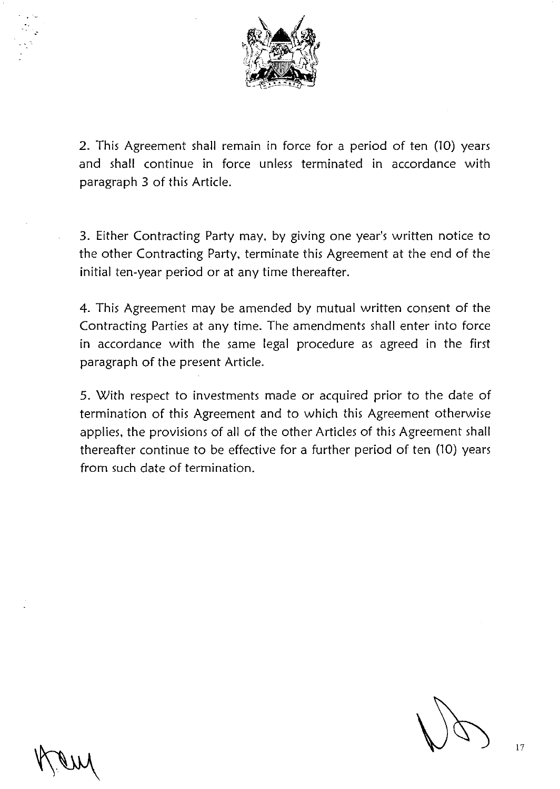

2. This Agreement shall remain in force for a period of ten (10) years and shall continue in force unless terminated in accordance with paragraph 3 of this Article.

3. Either Contracting Party may, by giving one year's written notice to the other Contracting Party, terminate this Agreement at the end of the initial ten-year period or at any time thereafter.

4. This Agreement may be amended by mutual written consent of the Contracting Parties at any time. The amendments shall enter into force in accordance with the same legal procedure as agreed in the first paragraph of the present Article.

5. With respect to investments made or acquired prior to the date of termination of this Agreement and to which this Agreement otherwise applies, the provisions of all of the other Articles of this Agreement shall thereafter continue to be effective for a further period of ten (10) years from such date of termination.

.. ·~

.·